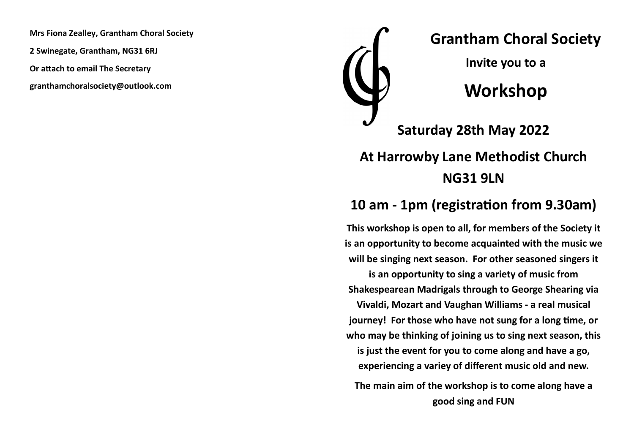**Mrs Fiona Zealley, Grantham Choral Society**

**2 Swinegate, Grantham, NG31 6RJ**

**Or attach to email The Secretary**

**granthamchoralsociety@outlook.com**



## **At Harrowby Lane Methodist Church NG31 9LN**

## **10 am - 1pm (registration from 9.30am)**

**This workshop is open to all, for members of the Society it is an opportunity to become acquainted with the music we will be singing next season. For other seasoned singers it is an opportunity to sing a variety of music from** 

**Shakespearean Madrigals through to George Shearing via Vivaldi, Mozart and Vaughan Williams - a real musical journey! For those who have not sung for a long time, or who may be thinking of joining us to sing next season, this is just the event for you to come along and have a go, experiencing a variey of different music old and new.**

**The main aim of the workshop is to come along have a good sing and FUN**